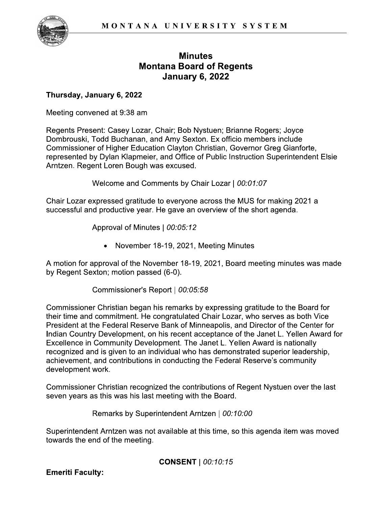

### **Minutes Montana Board of Regents January 6, 2022**

#### $\overline{\phantom{a}}$ i nursaay, January 6, 2022

Min<br>
Montana Boa<br>
Januar<br>
Thursday, January 6, 2022<br>
Meeting convened at 9:38 am<br>
Regents Present: Casey Lozar, Chair; Bob<br>
Dombrouski, Todd Buchanan, and Amy Se<br>
Commissioner of Higher Education Clayton<br>
represented by Dy **Montana Board of Regents<br>
January 6, 2022**<br>
Thursday, January 6, 2022<br>
Meeting convened at 9:38 am<br>
Regents Present: Casey Lozar, Chair; Bob Nystuen; Brianne Rogers; Joyce<br>
Dombrouski, Todd Buchanan, and Amy Sexton. Ex of E,4A8,C6F(=G,..@C+>/)/)=/).H4:I&J',)KLJ,MM(+(,4&4A&86()+NC.& January 6, 2022<br>
Thursday, January 6, 2022<br>
Meeting convened at 9:38 am<br>
Regents Present: Casey Lozar, Chair; Bob Nystuen; Brianne Rogers; Joyce<br>
Dombrouski, Todd Buchanan, and Amy Sexton. Ex officio members include<br>
Commi **Thursday, January 6, 2022**<br>
Meeting convened at 9:38 am<br>
Regents Present: Casey Lozar, Chair; Bob Nystuen; Brianne Rogers; Joyce<br>
Dombrouski, Todd Buchanan, and Amy Sexton. Ex officio members include<br>
Commissioner of Hig Thursday, January 6, 2022<br>
Meeting convened at 9:38 am<br>
Regents Present: Casey Lozar, Chair; Bob Nys<br>
Dombrouski, Todd Buchanan, and Amy Sextor<br>
Commissioner of Higher Education Clayton Chr<br>
represented by Dylan Klapmeier, ened at 9:38 am<br>
ent: Casey Lozar, Chair; Bob Nystuen; Brianne Roger<br>
Todd Buchanan, and Amy Sexton. Ex officio members<br>
or of Higher Education Clayton Christian, Governor Gre<br>
or Oylan Klapmeier, and Office of Public Inst Regents Present: Casey Lozar, Chair; Bob Nystuen; Brianne Rogers; Joyce<br>
Dombrouski, Todd Buchanan, and Amy Sexton. Ex officio members include<br>
Commissioner of Higher Education Clayton Christian, Governor Greg Gianforte,<br> Dombrouski, Todd Buchanan, and Amy Sexton. Ex officio members include<br>
Commissioner of Higher Education Clayton Christian, Governor Greg Gianforte,<br>
represented by Dylan Klapmeier, and Office of Public Instruction Superint

and the company of the company of

Chair Lozar expressed gratitude to everyone across the MUS for making 2021 a

nted by Dylan Klapmeier, and Office of Public<br>
Regent Loren Bough was excused.<br>
Welcome and Comments by Chair Loza<br>
Dispersive and Comments by Chair Loza<br>
Dispersive and productive year. He gave an overview<br>
Approval of Mi A motion for approval of the November 18-19, 2021, Board meeting minutes was made

Icome and Comments by Chair Lozar |  $00:01:07$ <br>
essed gratitude to everyone across the MUS for making 2021 a<br>
roductive year. He gave an overview of the short agenda.<br>
proval of Minutes |  $00:05:12$ <br>
• November 18-19, 202 Chair Lozar expressed gratitude to everyone across the MUS for making 2021 a<br>successful and productive year. He gave an overview of the short agenda.<br>Approval of Minutes  $| 00:05:12$ <br>• November 18-19, 2021, Meeting Minute Chair Lozar expressed gratitude to everyone<br>successful and productive year. He gave an  $\alpha$ <br>Approval of Minutes | 00:05:12<br>• November 18-19, 2021,<br>A motion for approval of the November 18-19<br>by Regent Sexton; motion passed Approval of Minutes | 00:05:12<br>
• November 18-19, 2021, Meeting Minut<br>
approval of the November 18-19, 2021, Board<br>
xton; motion passed (6-0).<br>
Commissioner's Report | 00:05:58<br>
r Christian began his remarks by expressing Commissioner Christian began his remarks by expressing gratitude to the Board for • November 18-19, 2021, Meeting Minutes<br>
A motion for approval of the November 18-19, 2021, Board meeting minutes was made<br>
by Regent Sexton; motion passed (6-0).<br>
Commissioner Christian began his remarks by expressing gra • November 18-19, 2021, Meeting Minutes<br>
A motion for approval of the November 18-19, 2021, Board meeting minutes was made<br>
by Regent Sexton; motion passed (6-0).<br>
Commissioner Christian began his remarks by expressing gra A motion for approval of the November 18-19, 2021, Board meeting minutes was made<br>by Regent Sexton; motion passed (6-0).<br>Commissioner's Report | 00:05:58<br>Commissioner Christian began his remarks by expressing gratitude to A motion for approval of the November 18-19, 2021, Board meeting minutes was made<br>by Regent Sexton; motion passed (6-0).<br>Commissioner's Report | 00:05:58<br>Commissioner Christian began his remarks by expressing gratitude to by Regent Sexton; motion passed (6-0).<br>
Commissioner's Report | 00:05:58<br>
Commissioner Christian began his remarks by expressing gratitude to the Board for<br>
their time and committent. He congratulated Chair Lozar, who serv Commissioner's Report | 00:05:58<br>
Commissioner Christian began his remarks by expressing gratitude to the Board for<br>
their time and commitment. He congratulated Chair Lozar, who serves as both Vice<br>
President at the Federa Commissioner's Report | 00:05:58<br>
Commissioner Christian began his remarks by expressing gratitude to the Board for<br>
their time and commitment. He congratulated Chair Lozar, who serves as both Vice<br>
President at the Federa Commissioner Christian began his<br>their time and commitment. He con<br>President at the Federal Reserve E<br>Indian Country Development, on hi<br>Excellence in Community Developr<br>recognized and is given to an indivi<br>achievement, and their time and commitment. He congratulated Chair Lozar, who serves as both Vice<br>
President at the Federal Reserve Bank of Minneapolis, and Director of the Center for<br>
Indian Country Development, on his recent acceptance o President at the Federal Reserve Bank of Minneapolis, and Director<br>
Indian Country Development, on his recent acceptance of the Janet<br>
Excellence in Community Development. The Janet L. Yellen Award<br>
recognized and is give in Community Development. The Janet L. Yellen Award i<br>and is given to an individual who has demonstrated supe<br>th, and contributions in conducting the Federal Reserve's<br>nt work.<br>Merc Christian recognized the contributions

Commissioner Christian recognized the contributions of Regent Nystuen over the last

Superintendent Arntzen was not available at this time, so this agenda item was moved achievement, and contributions in conducting the Federal Reserve's community<br>development work.<br>Commissioner Christian recognized the contributions of Regent Nystuen over the last<br>seven years as this was his last meeting wi development work.<br>
Commissioner Christian recognized the contributions<br>
seven years as this was his last meeting with the B<br>
Remarks by Superintendent Arntzen<br>
Superintendent Arntzen was not available at this tive<br>
towards

CONSENT  $| 00:10:15$ 

**Emeriti Faculty:**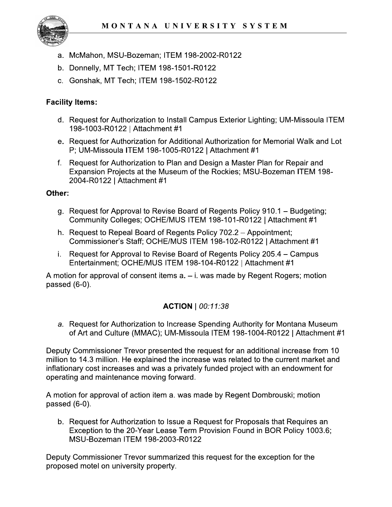

- a. McMahon, MSU-Bozeman; ITEM 198-2002-R0122
- b. Donnelly, MT Tech; ITEM 198-1501-R0122
- c. Gonshak, MT Tech; ITEM 198-1502-R0122

### **Facility Items:**

- d. Request for Authorization to Install Campus Exterior Lighting; UM-Missoula ITEM 198-1003-R0122 | Attachment #1
- e. Request for Authorization for Additional Authorization for Memorial Walk and Lot P; UM-Missoula ITEM 198-1005-R0122 | Attachment #1
- f. Request for Authorization to Plan and Design a Master Plan for Repair and Expansion Projects at the Museum of the Rockies; MSU-Bozeman ITEM 198-2004-R0122 | Attachment #1

### Other:

- g. Request for Approval to Revise Board of Regents Policy 910.1 Budgeting; Community Colleges; OCHE/MUS ITEM 198-101-R0122 | Attachment #1
- h. Request to Repeal Board of Regents Policy 702.2 Appointment; Commissioner's Staff; OCHE/MUS ITEM 198-102-R0122 | Attachment #1
- i. Request for Approval to Revise Board of Regents Policy 205.4 Campus Entertainment; OCHE/MUS ITEM 198-104-R0122 | Attachment #1

A motion for approval of consent items  $a - i$ . was made by Regent Rogers; motion passed (6-0).

# **ACTION** | 00:11:38

a. Request for Authorization to Increase Spending Authority for Montana Museum of Art and Culture (MMAC); UM-Missoula ITEM 198-1004-R0122 | Attachment #1

Deputy Commissioner Trevor presented the request for an additional increase from 10 million to 14.3 million. He explained the increase was related to the current market and inflationary cost increases and was a privately funded project with an endowment for operating and maintenance moving forward.

A motion for approval of action item a. was made by Regent Dombrouski; motion passed  $(6-0)$ .

b. Request for Authorization to Issue a Request for Proposals that Requires an Exception to the 20-Year Lease Term Provision Found in BOR Policy 1003.6; MSU-Bozeman ITEM 198-2003-R0122

Deputy Commissioner Trevor summarized this request for the exception for the proposed motel on university property.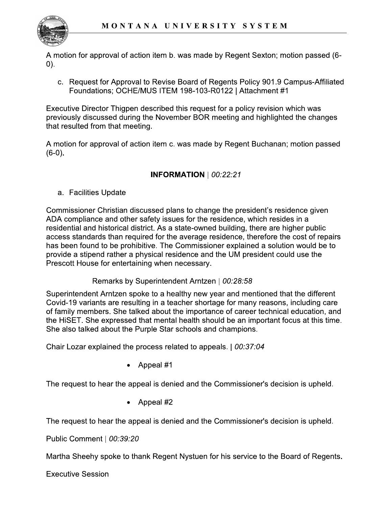

A motion for approval of action item b. was made by Regent Sexton; motion passed (6- $(0)$ .

c. Request for Approval to Revise Board of Regents Policy 901.9 Campus-Affiliated Foundations; OCHE/MUS ITEM 198-103-R0122 | Attachment #1

Executive Director Thigpen described this request for a policy revision which was previously discussed during the November BOR meeting and highlighted the changes that resulted from that meeting.

A motion for approval of action item c. was made by Regent Buchanan; motion passed  $(6-0)$ .

# **INFORMATION**  $| 00:22:21$

a. Facilities Update

Commissioner Christian discussed plans to change the president's residence given ADA compliance and other safety issues for the residence, which resides in a residential and historical district. As a state-owned building, there are higher public access standards than required for the average residence, therefore the cost of repairs has been found to be prohibitive. The Commissioner explained a solution would be to provide a stipend rather a physical residence and the UM president could use the Prescott House for entertaining when necessary.

### Remarks by Superintendent Arntzen | 00:28:58

Superintendent Arntzen spoke to a healthy new year and mentioned that the different Covid-19 variants are resulting in a teacher shortage for many reasons, including care of family members. She talked about the importance of career technical education, and the HiSET. She expressed that mental health should be an important focus at this time. She also talked about the Purple Star schools and champions.

Chair Lozar explained the process related to appeals. | 00:37:04

Appeal #1

The request to hear the appeal is denied and the Commissioner's decision is upheld.

Appeal #2

The request to hear the appeal is denied and the Commissioner's decision is upheld.

Public Comment | 00:39:20

Martha Sheehy spoke to thank Regent Nystuen for his service to the Board of Regents.

**Executive Session**